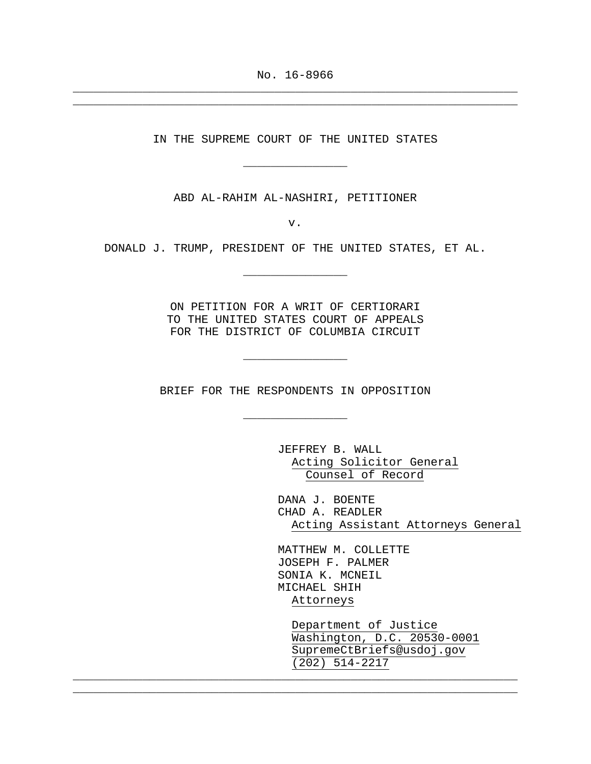No. 16-8966 \_\_\_\_\_\_\_\_\_\_\_\_\_\_\_\_\_\_\_\_\_\_\_\_\_\_\_\_\_\_\_\_\_\_\_\_\_\_\_\_\_\_\_\_\_\_\_\_\_\_\_\_\_\_\_\_\_\_\_\_\_\_\_\_

\_\_\_\_\_\_\_\_\_\_\_\_\_\_\_\_\_\_\_\_\_\_\_\_\_\_\_\_\_\_\_\_\_\_\_\_\_\_\_\_\_\_\_\_\_\_\_\_\_\_\_\_\_\_\_\_\_\_\_\_\_\_\_\_

IN THE SUPREME COURT OF THE UNITED STATES

\_\_\_\_\_\_\_\_\_\_\_\_\_\_\_

ABD AL-RAHIM AL-NASHIRI, PETITIONER

v.

DONALD J. TRUMP, PRESIDENT OF THE UNITED STATES, ET AL.

\_\_\_\_\_\_\_\_\_\_\_\_\_\_\_

ON PETITION FOR A WRIT OF CERTIORARI TO THE UNITED STATES COURT OF APPEALS FOR THE DISTRICT OF COLUMBIA CIRCUIT

BRIEF FOR THE RESPONDENTS IN OPPOSITION

\_\_\_\_\_\_\_\_\_\_\_\_\_\_\_

\_\_\_\_\_\_\_\_\_\_\_\_\_\_\_

\_\_\_\_\_\_\_\_\_\_\_\_\_\_\_\_\_\_\_\_\_\_\_\_\_\_\_\_\_\_\_\_\_\_\_\_\_\_\_\_\_\_\_\_\_\_\_\_\_\_\_\_\_\_\_\_\_\_\_\_\_\_\_\_ \_\_\_\_\_\_\_\_\_\_\_\_\_\_\_\_\_\_\_\_\_\_\_\_\_\_\_\_\_\_\_\_\_\_\_\_\_\_\_\_\_\_\_\_\_\_\_\_\_\_\_\_\_\_\_\_\_\_\_\_\_\_\_\_

JEFFREY B. WALL Acting Solicitor General Counsel of Record

DANA J. BOENTE CHAD A. READLER Acting Assistant Attorneys General

MATTHEW M. COLLETTE JOSEPH F. PALMER SONIA K. MCNEIL MICHAEL SHIH Attorneys

> Department of Justice Washington, D.C. 20530-0001 SupremeCtBriefs@usdoj.gov (202) 514-2217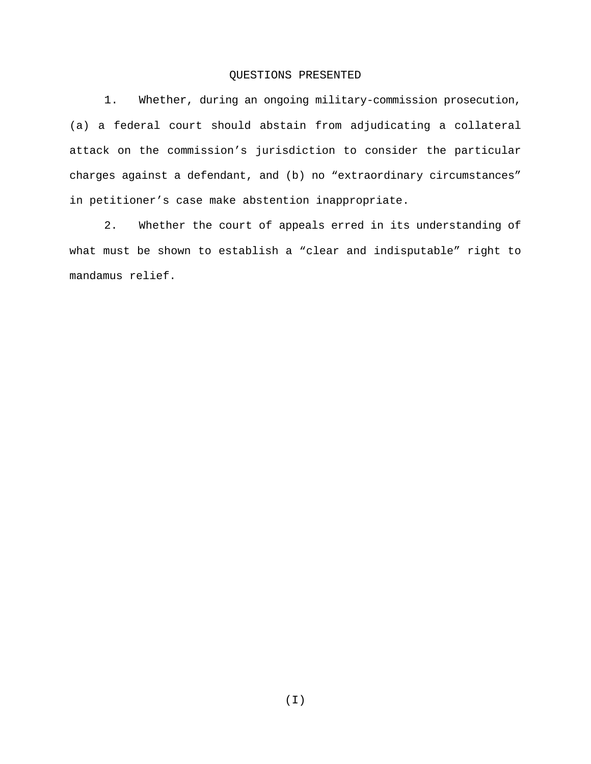# QUESTIONS PRESENTED

1. Whether, during an ongoing military-commission prosecution, (a) a federal court should abstain from adjudicating a collateral attack on the commission's jurisdiction to consider the particular charges against a defendant, and (b) no "extraordinary circumstances" in petitioner's case make abstention inappropriate.

2. Whether the court of appeals erred in its understanding of what must be shown to establish a "clear and indisputable" right to mandamus relief.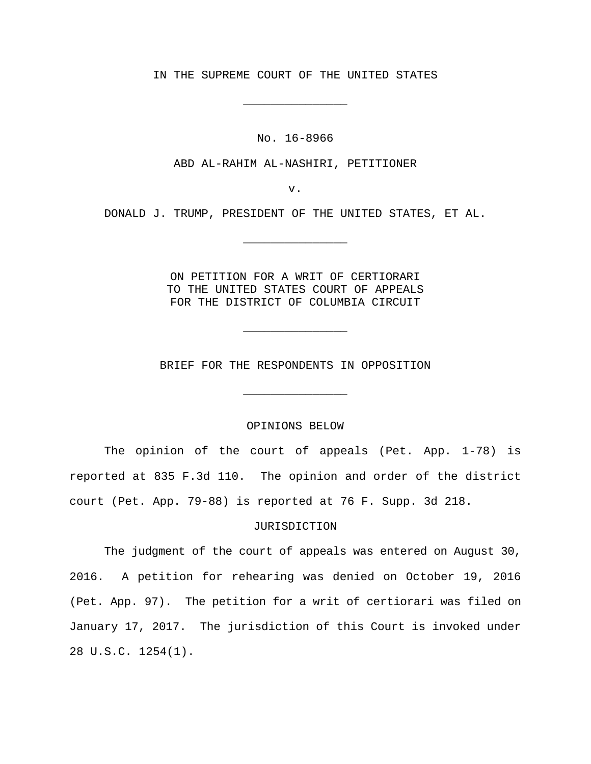IN THE SUPREME COURT OF THE UNITED STATES

\_\_\_\_\_\_\_\_\_\_\_\_\_\_\_

No. 16-8966

ABD AL-RAHIM AL-NASHIRI, PETITIONER

v.

DONALD J. TRUMP, PRESIDENT OF THE UNITED STATES, ET AL.

\_\_\_\_\_\_\_\_\_\_\_\_\_\_\_

ON PETITION FOR A WRIT OF CERTIORARI TO THE UNITED STATES COURT OF APPEALS FOR THE DISTRICT OF COLUMBIA CIRCUIT

\_\_\_\_\_\_\_\_\_\_\_\_\_\_\_

BRIEF FOR THE RESPONDENTS IN OPPOSITION

\_\_\_\_\_\_\_\_\_\_\_\_\_\_\_

# OPINIONS BELOW

The opinion of the court of appeals (Pet. App. 1-78) is reported at 835 F.3d 110. The opinion and order of the district court (Pet. App. 79-88) is reported at 76 F. Supp. 3d 218.

# JURISDICTION

The judgment of the court of appeals was entered on August 30, 2016. A petition for rehearing was denied on October 19, 2016 (Pet. App. 97). The petition for a writ of certiorari was filed on January 17, 2017. The jurisdiction of this Court is invoked under 28 U.S.C. 1254(1).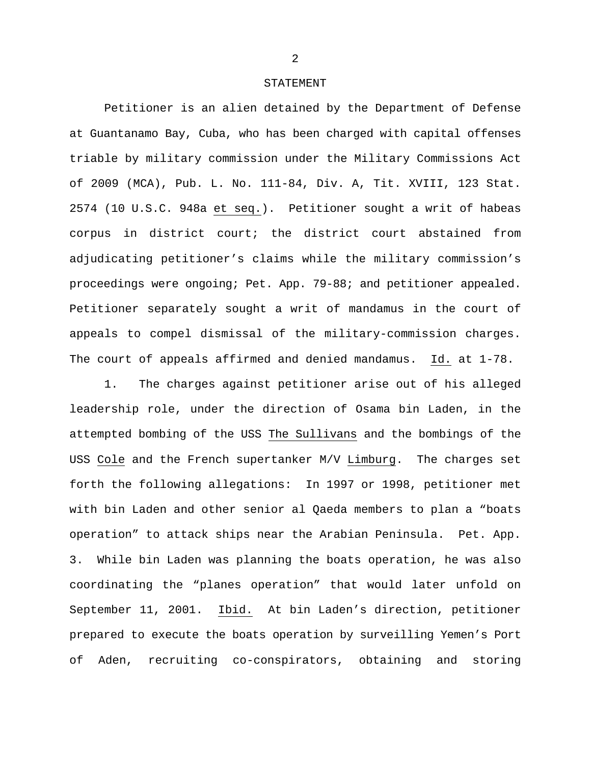#### STATEMENT

Petitioner is an alien detained by the Department of Defense at Guantanamo Bay, Cuba, who has been charged with capital offenses triable by military commission under the Military Commissions Act of 2009 (MCA), Pub. L. No. 111-84, Div. A, Tit. XVIII, 123 Stat. 2574 (10 U.S.C. 948a et seq.). Petitioner sought a writ of habeas corpus in district court; the district court abstained from adjudicating petitioner's claims while the military commission's proceedings were ongoing; Pet. App. 79-88; and petitioner appealed. Petitioner separately sought a writ of mandamus in the court of appeals to compel dismissal of the military-commission charges. The court of appeals affirmed and denied mandamus. Id. at 1-78.

1. The charges against petitioner arise out of his alleged leadership role, under the direction of Osama bin Laden, in the attempted bombing of the USS The Sullivans and the bombings of the USS Cole and the French supertanker M/V Limburg. The charges set forth the following allegations: In 1997 or 1998, petitioner met with bin Laden and other senior al Qaeda members to plan a "boats operation" to attack ships near the Arabian Peninsula. Pet. App. 3. While bin Laden was planning the boats operation, he was also coordinating the "planes operation" that would later unfold on September 11, 2001. Ibid. At bin Laden's direction, petitioner prepared to execute the boats operation by surveilling Yemen's Port of Aden, recruiting co-conspirators, obtaining and storing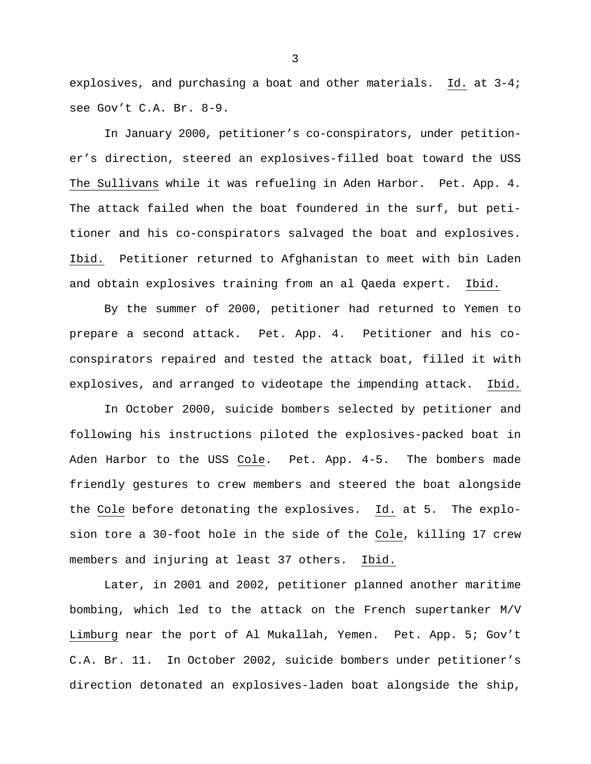explosives, and purchasing a boat and other materials. Id. at 3-4; see Gov't C.A. Br. 8-9.

In January 2000, petitioner's co-conspirators, under petitioner's direction, steered an explosives-filled boat toward the USS The Sullivans while it was refueling in Aden Harbor. Pet. App. 4. The attack failed when the boat foundered in the surf, but petitioner and his co-conspirators salvaged the boat and explosives. Ibid. Petitioner returned to Afghanistan to meet with bin Laden and obtain explosives training from an al Qaeda expert. Ibid.

By the summer of 2000, petitioner had returned to Yemen to prepare a second attack. Pet. App. 4. Petitioner and his coconspirators repaired and tested the attack boat, filled it with explosives, and arranged to videotape the impending attack. Ibid.

In October 2000, suicide bombers selected by petitioner and following his instructions piloted the explosives-packed boat in Aden Harbor to the USS Cole. Pet. App. 4-5. The bombers made friendly gestures to crew members and steered the boat alongside the Cole before detonating the explosives. Id. at 5. The explosion tore a 30-foot hole in the side of the Cole, killing 17 crew members and injuring at least 37 others. Ibid.

Later, in 2001 and 2002, petitioner planned another maritime bombing, which led to the attack on the French supertanker M/V Limburg near the port of Al Mukallah, Yemen. Pet. App. 5; Gov't C.A. Br. 11. In October 2002, suicide bombers under petitioner's direction detonated an explosives-laden boat alongside the ship,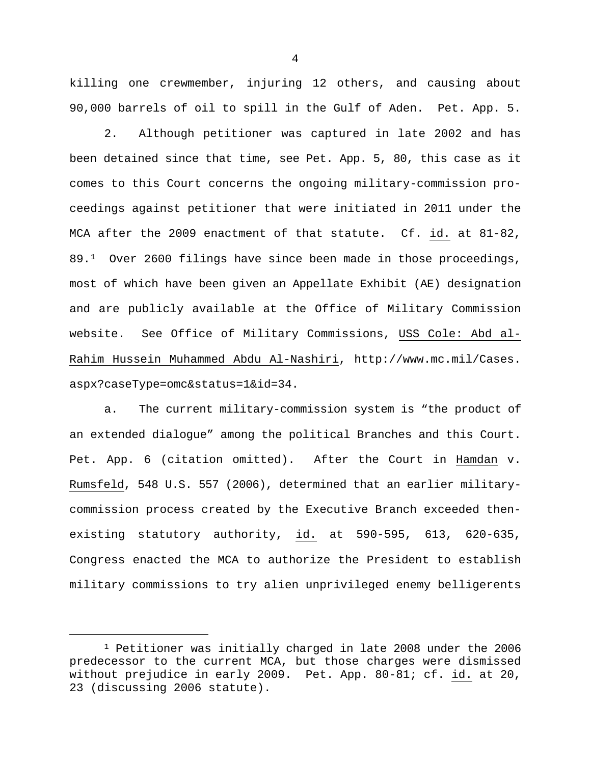killing one crewmember, injuring 12 others, and causing about 90,000 barrels of oil to spill in the Gulf of Aden. Pet. App. 5.

2. Although petitioner was captured in late 2002 and has been detained since that time, see Pet. App. 5, 80, this case as it comes to this Court concerns the ongoing military-commission proceedings against petitioner that were initiated in 2011 under the MCA after the 2009 enactment of that statute. Cf. id. at 81-82, 89.[1](#page-5-0) Over 2600 filings have since been made in those proceedings, most of which have been given an Appellate Exhibit (AE) designation and are publicly available at the Office of Military Commission website. See Office of Military Commissions, USS Cole: Abd al-Rahim Hussein Muhammed Abdu Al-Nashiri, http://www.mc.mil/Cases. aspx?caseType=omc&status=1&id=34.

a. The current military-commission system is "the product of an extended dialogue" among the political Branches and this Court. Pet. App. 6 (citation omitted). After the Court in Hamdan v. Rumsfeld, 548 U.S. 557 (2006), determined that an earlier militarycommission process created by the Executive Branch exceeded thenexisting statutory authority, id. at 590-595, 613, 620-635, Congress enacted the MCA to authorize the President to establish military commissions to try alien unprivileged enemy belligerents

Ĩ.

<span id="page-5-0"></span><sup>1</sup> Petitioner was initially charged in late 2008 under the 2006 predecessor to the current MCA, but those charges were dismissed without prejudice in early 2009. Pet. App. 80-81; cf. id. at 20, 23 (discussing 2006 statute).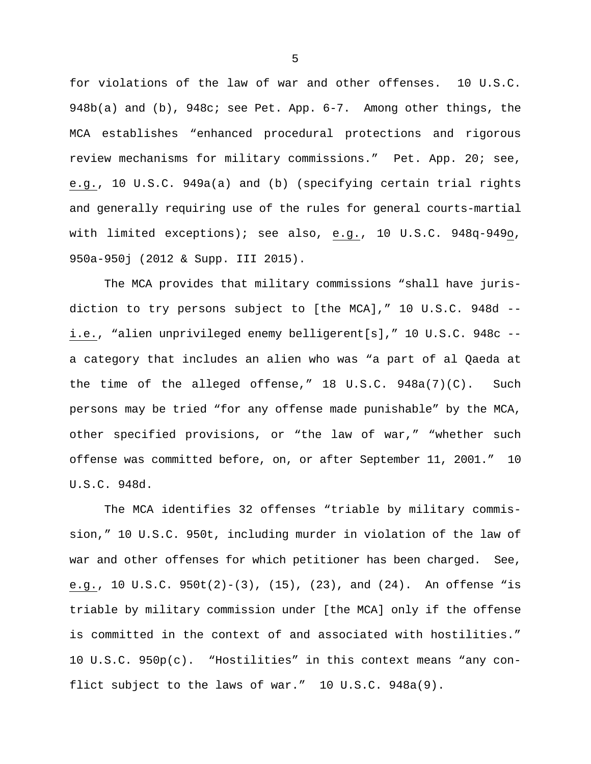for violations of the law of war and other offenses. 10 U.S.C. 948b(a) and (b), 948c; see Pet. App. 6-7. Among other things, the MCA establishes "enhanced procedural protections and rigorous review mechanisms for military commissions." Pet. App. 20; see, e.g., 10 U.S.C. 949a(a) and (b) (specifying certain trial rights and generally requiring use of the rules for general courts-martial with limited exceptions); see also, e.g., 10 U.S.C. 948q-949o, 950a-950j (2012 & Supp. III 2015).

The MCA provides that military commissions "shall have jurisdiction to try persons subject to [the MCA]," 10 U.S.C. 948d - i.e., "alien unprivileged enemy belligerent[s]," 10 U.S.C. 948c - a category that includes an alien who was "a part of al Qaeda at the time of the alleged offense," 18 U.S.C. 948a(7)(C). Such persons may be tried "for any offense made punishable" by the MCA, other specified provisions, or "the law of war," "whether such offense was committed before, on, or after September 11, 2001." 10 U.S.C. 948d.

The MCA identifies 32 offenses "triable by military commission," 10 U.S.C. 950t, including murder in violation of the law of war and other offenses for which petitioner has been charged. See, e.g., 10 U.S.C. 950t(2)-(3), (15), (23), and (24). An offense "is triable by military commission under [the MCA] only if the offense is committed in the context of and associated with hostilities." 10 U.S.C. 950p(c). "Hostilities" in this context means "any conflict subject to the laws of war." 10 U.S.C. 948a(9).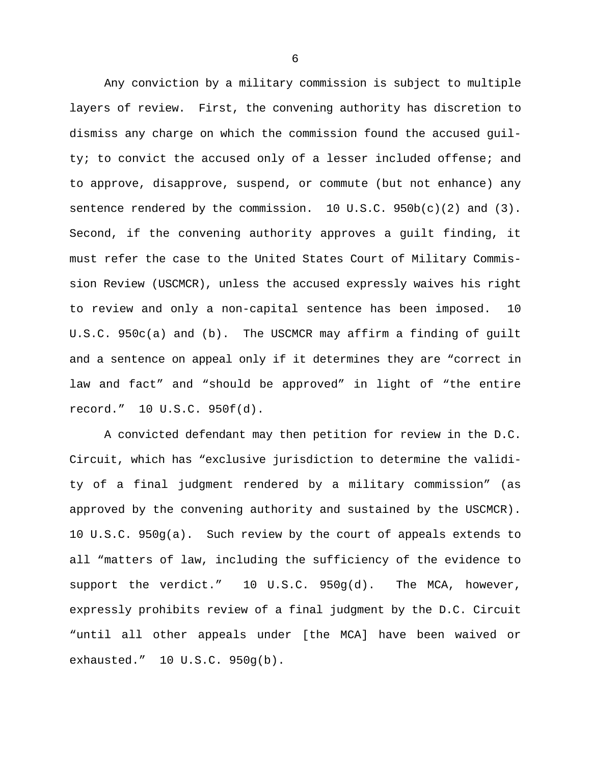Any conviction by a military commission is subject to multiple layers of review. First, the convening authority has discretion to dismiss any charge on which the commission found the accused guilty; to convict the accused only of a lesser included offense; and to approve, disapprove, suspend, or commute (but not enhance) any sentence rendered by the commission.  $10 \text{ U.S.C. } 950b(c)(2)$  and  $(3)$ . Second, if the convening authority approves a guilt finding, it must refer the case to the United States Court of Military Commission Review (USCMCR), unless the accused expressly waives his right to review and only a non-capital sentence has been imposed. 10 U.S.C. 950c(a) and (b). The USCMCR may affirm a finding of guilt and a sentence on appeal only if it determines they are "correct in law and fact" and "should be approved" in light of "the entire record." 10 U.S.C. 950f(d).

A convicted defendant may then petition for review in the D.C. Circuit, which has "exclusive jurisdiction to determine the validity of a final judgment rendered by a military commission" (as approved by the convening authority and sustained by the USCMCR). 10 U.S.C. 950g(a). Such review by the court of appeals extends to all "matters of law, including the sufficiency of the evidence to support the verdict." 10 U.S.C. 950g(d). The MCA, however, expressly prohibits review of a final judgment by the D.C. Circuit "until all other appeals under [the MCA] have been waived or exhausted." 10 U.S.C. 950g(b).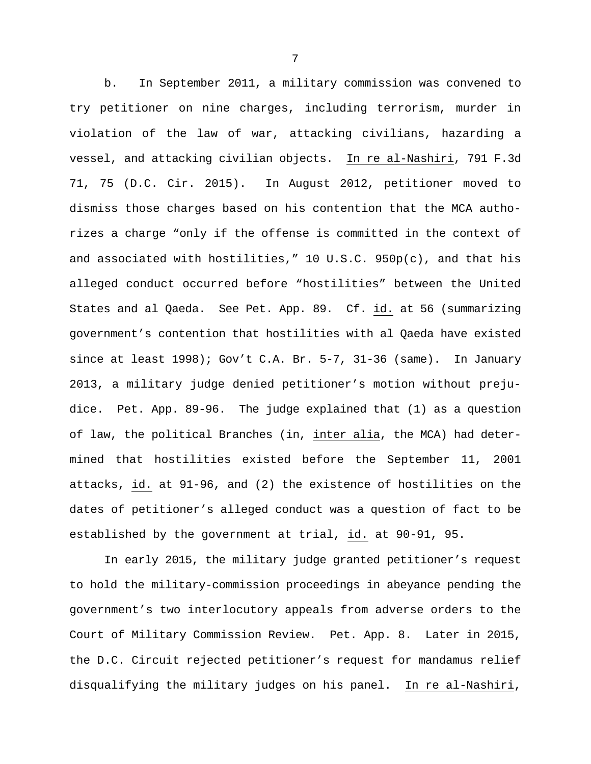b. In September 2011, a military commission was convened to try petitioner on nine charges, including terrorism, murder in violation of the law of war, attacking civilians, hazarding a vessel, and attacking civilian objects. In re al-Nashiri, 791 F.3d 71, 75 (D.C. Cir. 2015). In August 2012, petitioner moved to dismiss those charges based on his contention that the MCA authorizes a charge "only if the offense is committed in the context of and associated with hostilities," 10 U.S.C. 950p(c), and that his alleged conduct occurred before "hostilities" between the United States and al Qaeda. See Pet. App. 89. Cf. id. at 56 (summarizing government's contention that hostilities with al Qaeda have existed since at least  $1998$ ; Gov't C.A. Br. 5-7, 31-36 (same). In January 2013, a military judge denied petitioner's motion without prejudice. Pet. App. 89-96. The judge explained that (1) as a question of law, the political Branches (in, inter alia, the MCA) had determined that hostilities existed before the September 11, 2001 attacks, id. at 91-96, and (2) the existence of hostilities on the dates of petitioner's alleged conduct was a question of fact to be established by the government at trial, id. at 90-91, 95.

In early 2015, the military judge granted petitioner's request to hold the military-commission proceedings in abeyance pending the government's two interlocutory appeals from adverse orders to the Court of Military Commission Review. Pet. App. 8. Later in 2015, the D.C. Circuit rejected petitioner's request for mandamus relief disqualifying the military judges on his panel. In re al-Nashiri,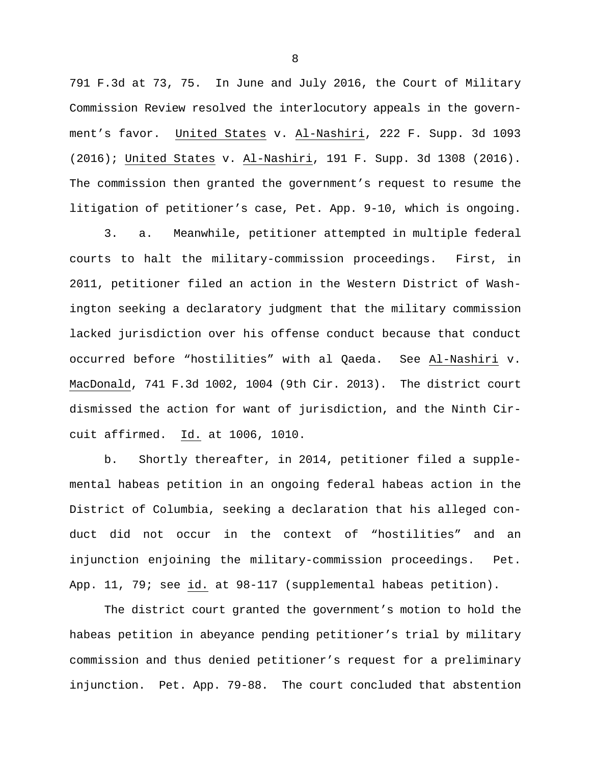791 F.3d at 73, 75. In June and July 2016, the Court of Military Commission Review resolved the interlocutory appeals in the government's favor. United States v. Al-Nashiri, 222 F. Supp. 3d 1093 (2016); United States v. Al-Nashiri, 191 F. Supp. 3d 1308 (2016). The commission then granted the government's request to resume the litigation of petitioner's case, Pet. App. 9-10, which is ongoing.

3. a. Meanwhile, petitioner attempted in multiple federal courts to halt the military-commission proceedings. First, in 2011, petitioner filed an action in the Western District of Washington seeking a declaratory judgment that the military commission lacked jurisdiction over his offense conduct because that conduct occurred before "hostilities" with al Qaeda. See Al-Nashiri v. MacDonald, 741 F.3d 1002, 1004 (9th Cir. 2013). The district court dismissed the action for want of jurisdiction, and the Ninth Circuit affirmed. Id. at 1006, 1010.

b. Shortly thereafter, in 2014, petitioner filed a supplemental habeas petition in an ongoing federal habeas action in the District of Columbia, seeking a declaration that his alleged conduct did not occur in the context of "hostilities" and an injunction enjoining the military-commission proceedings. Pet. App. 11, 79; see id. at 98-117 (supplemental habeas petition).

The district court granted the government's motion to hold the habeas petition in abeyance pending petitioner's trial by military commission and thus denied petitioner's request for a preliminary injunction. Pet. App. 79-88. The court concluded that abstention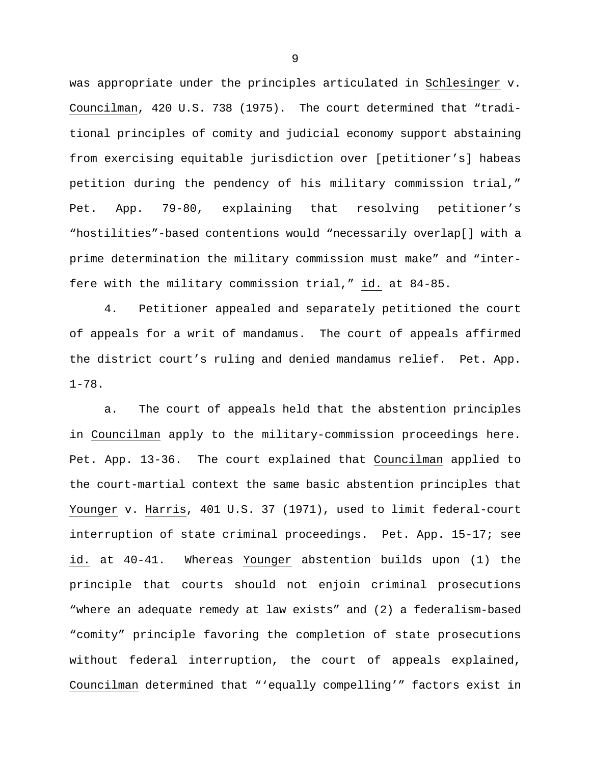was appropriate under the principles articulated in Schlesinger v. Councilman, 420 U.S. 738 (1975). The court determined that "traditional principles of comity and judicial economy support abstaining from exercising equitable jurisdiction over [petitioner's] habeas petition during the pendency of his military commission trial," Pet. App. 79-80, explaining that resolving petitioner's "hostilities"-based contentions would "necessarily overlap[] with a prime determination the military commission must make" and "interfere with the military commission trial," id. at 84-85.

4. Petitioner appealed and separately petitioned the court of appeals for a writ of mandamus. The court of appeals affirmed the district court's ruling and denied mandamus relief. Pet. App. 1-78.

a. The court of appeals held that the abstention principles in Councilman apply to the military-commission proceedings here. Pet. App. 13-36. The court explained that Councilman applied to the court-martial context the same basic abstention principles that Younger v. Harris, 401 U.S. 37 (1971), used to limit federal-court interruption of state criminal proceedings. Pet. App. 15-17; see id. at 40-41. Whereas Younger abstention builds upon (1) the principle that courts should not enjoin criminal prosecutions "where an adequate remedy at law exists" and (2) a federalism-based "comity" principle favoring the completion of state prosecutions without federal interruption, the court of appeals explained, Councilman determined that "'equally compelling'" factors exist in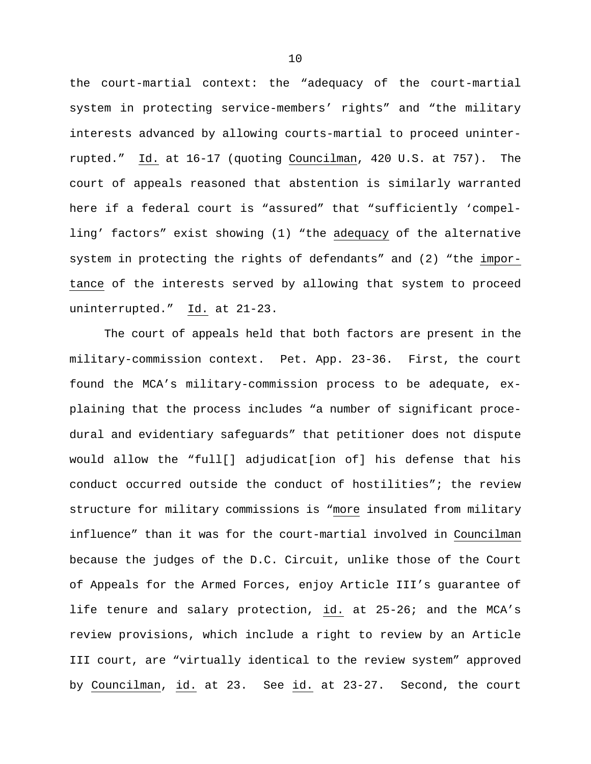the court-martial context: the "adequacy of the court-martial system in protecting service-members' rights" and "the military interests advanced by allowing courts-martial to proceed uninterrupted." Id. at 16-17 (quoting Councilman, 420 U.S. at 757). The court of appeals reasoned that abstention is similarly warranted here if a federal court is "assured" that "sufficiently 'compelling' factors" exist showing (1) "the adequacy of the alternative system in protecting the rights of defendants" and (2) "the importance of the interests served by allowing that system to proceed uninterrupted." Id. at 21-23.

The court of appeals held that both factors are present in the military-commission context. Pet. App. 23-36. First, the court found the MCA's military-commission process to be adequate, explaining that the process includes "a number of significant procedural and evidentiary safeguards" that petitioner does not dispute would allow the "full[] adjudicat[ion of] his defense that his conduct occurred outside the conduct of hostilities"; the review structure for military commissions is "more insulated from military influence" than it was for the court-martial involved in Councilman because the judges of the D.C. Circuit, unlike those of the Court of Appeals for the Armed Forces, enjoy Article III's guarantee of life tenure and salary protection, id. at 25-26; and the MCA's review provisions, which include a right to review by an Article III court, are "virtually identical to the review system" approved by Councilman, id. at 23. See id. at 23-27. Second, the court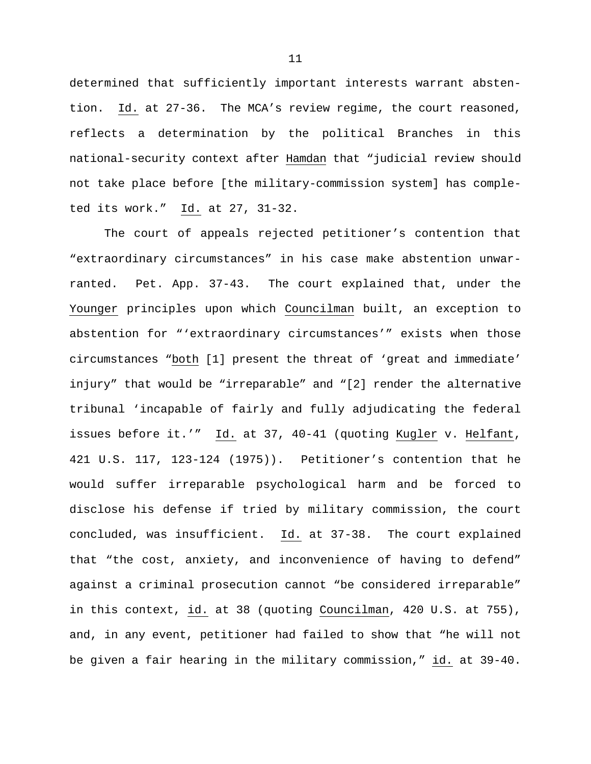determined that sufficiently important interests warrant abstention. Id. at 27-36. The MCA's review regime, the court reasoned, reflects a determination by the political Branches in this national-security context after Hamdan that "judicial review should not take place before [the military-commission system] has completed its work." Id. at 27, 31-32.

The court of appeals rejected petitioner's contention that "extraordinary circumstances" in his case make abstention unwarranted. Pet. App. 37-43. The court explained that, under the Younger principles upon which Councilman built, an exception to abstention for "'extraordinary circumstances'" exists when those circumstances "both [1] present the threat of 'great and immediate' injury" that would be "irreparable" and "[2] render the alternative tribunal 'incapable of fairly and fully adjudicating the federal issues before it.'" Id. at 37, 40-41 (quoting Kugler v. Helfant, 421 U.S. 117, 123-124 (1975)). Petitioner's contention that he would suffer irreparable psychological harm and be forced to disclose his defense if tried by military commission, the court concluded, was insufficient. Id. at 37-38. The court explained that "the cost, anxiety, and inconvenience of having to defend" against a criminal prosecution cannot "be considered irreparable" in this context, id. at 38 (quoting Councilman, 420 U.S. at 755), and, in any event, petitioner had failed to show that "he will not be given a fair hearing in the military commission," id. at 39-40.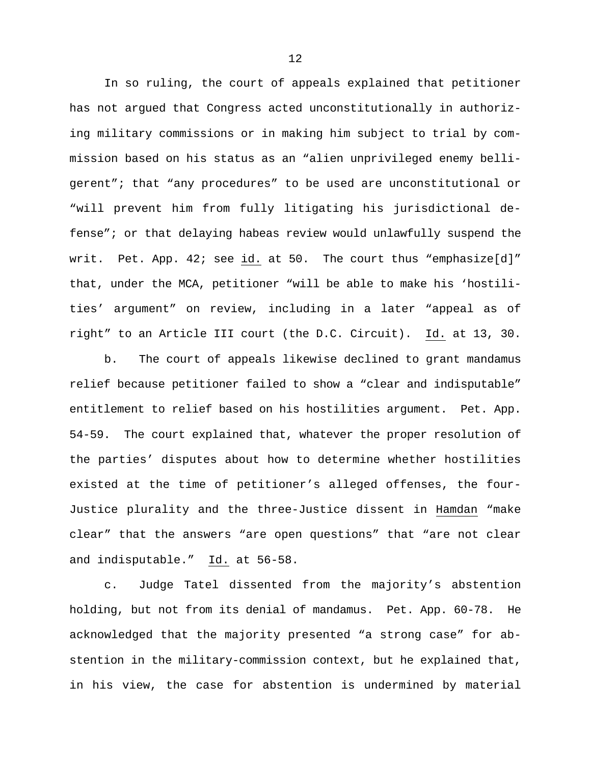In so ruling, the court of appeals explained that petitioner has not argued that Congress acted unconstitutionally in authorizing military commissions or in making him subject to trial by commission based on his status as an "alien unprivileged enemy belligerent"; that "any procedures" to be used are unconstitutional or "will prevent him from fully litigating his jurisdictional defense"; or that delaying habeas review would unlawfully suspend the writ. Pet. App. 42; see id. at 50. The court thus "emphasize[d]" that, under the MCA, petitioner "will be able to make his 'hostilities' argument" on review, including in a later "appeal as of right" to an Article III court (the D.C. Circuit). Id. at 13, 30.

b. The court of appeals likewise declined to grant mandamus relief because petitioner failed to show a "clear and indisputable" entitlement to relief based on his hostilities argument. Pet. App. 54-59. The court explained that, whatever the proper resolution of the parties' disputes about how to determine whether hostilities existed at the time of petitioner's alleged offenses, the four-Justice plurality and the three-Justice dissent in Hamdan "make clear" that the answers "are open questions" that "are not clear and indisputable." Id. at 56-58.

c. Judge Tatel dissented from the majority's abstention holding, but not from its denial of mandamus. Pet. App. 60-78. He acknowledged that the majority presented "a strong case" for abstention in the military-commission context, but he explained that, in his view, the case for abstention is undermined by material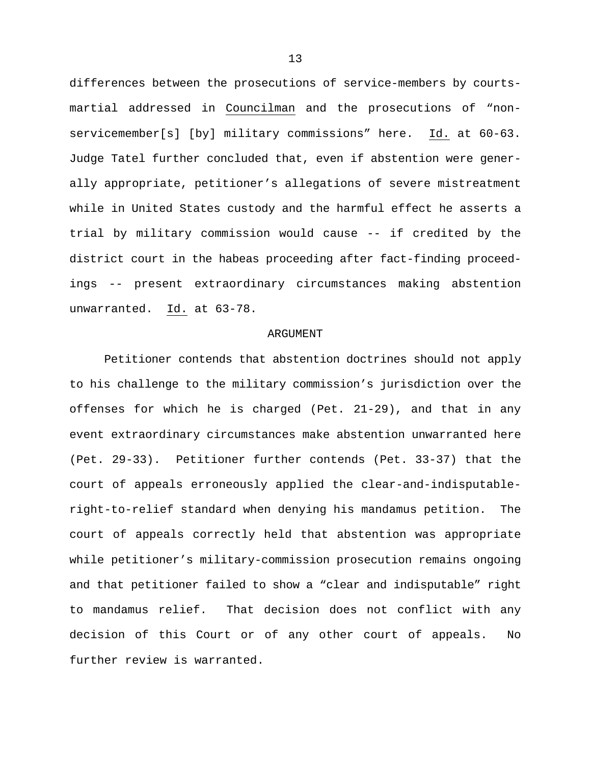differences between the prosecutions of service-members by courtsmartial addressed in Councilman and the prosecutions of "nonservicemember[s] [by] military commissions" here. Id. at 60-63. Judge Tatel further concluded that, even if abstention were generally appropriate, petitioner's allegations of severe mistreatment while in United States custody and the harmful effect he asserts a trial by military commission would cause -- if credited by the district court in the habeas proceeding after fact-finding proceedings -- present extraordinary circumstances making abstention unwarranted. Id. at 63-78.

### ARGUMENT

Petitioner contends that abstention doctrines should not apply to his challenge to the military commission's jurisdiction over the offenses for which he is charged (Pet. 21-29), and that in any event extraordinary circumstances make abstention unwarranted here (Pet. 29-33). Petitioner further contends (Pet. 33-37) that the court of appeals erroneously applied the clear-and-indisputableright-to-relief standard when denying his mandamus petition. The court of appeals correctly held that abstention was appropriate while petitioner's military-commission prosecution remains ongoing and that petitioner failed to show a "clear and indisputable" right to mandamus relief. That decision does not conflict with any decision of this Court or of any other court of appeals. No further review is warranted.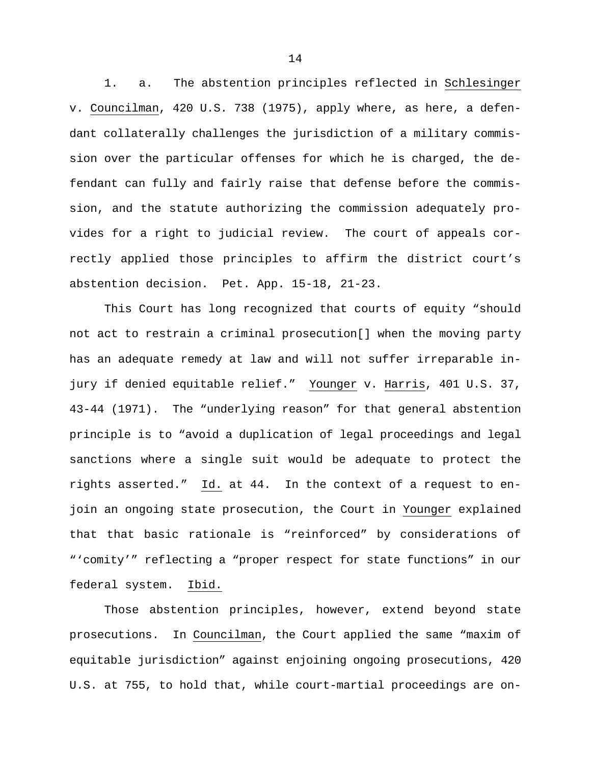1. a. The abstention principles reflected in Schlesinger v. Councilman, 420 U.S. 738 (1975), apply where, as here, a defendant collaterally challenges the jurisdiction of a military commission over the particular offenses for which he is charged, the defendant can fully and fairly raise that defense before the commission, and the statute authorizing the commission adequately provides for a right to judicial review. The court of appeals correctly applied those principles to affirm the district court's abstention decision. Pet. App. 15-18, 21-23.

This Court has long recognized that courts of equity "should not act to restrain a criminal prosecution[] when the moving party has an adequate remedy at law and will not suffer irreparable injury if denied equitable relief." Younger v. Harris, 401 U.S. 37, 43-44 (1971). The "underlying reason" for that general abstention principle is to "avoid a duplication of legal proceedings and legal sanctions where a single suit would be adequate to protect the rights asserted." Id. at 44. In the context of a request to enjoin an ongoing state prosecution, the Court in Younger explained that that basic rationale is "reinforced" by considerations of "'comity'" reflecting a "proper respect for state functions" in our federal system. Ibid.

Those abstention principles, however, extend beyond state prosecutions. In Councilman, the Court applied the same "maxim of equitable jurisdiction" against enjoining ongoing prosecutions, 420 U.S. at 755, to hold that, while court-martial proceedings are on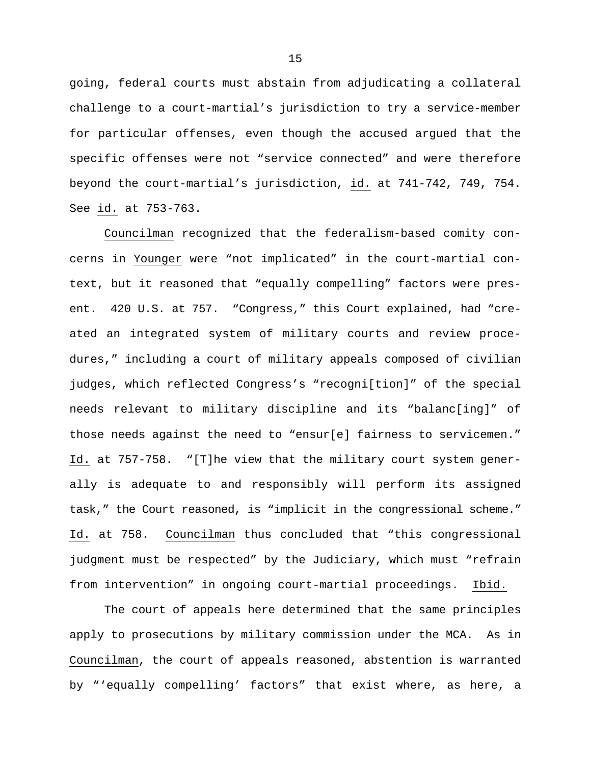going, federal courts must abstain from adjudicating a collateral challenge to a court-martial's jurisdiction to try a service-member for particular offenses, even though the accused argued that the specific offenses were not "service connected" and were therefore beyond the court-martial's jurisdiction, id. at 741-742, 749, 754. See id. at 753-763.

Councilman recognized that the federalism-based comity concerns in Younger were "not implicated" in the court-martial context, but it reasoned that "equally compelling" factors were present. 420 U.S. at 757. "Congress," this Court explained, had "created an integrated system of military courts and review procedures," including a court of military appeals composed of civilian judges, which reflected Congress's "recogni[tion]" of the special needs relevant to military discipline and its "balanc[ing]" of those needs against the need to "ensur[e] fairness to servicemen." Id. at 757-758. "[T]he view that the military court system generally is adequate to and responsibly will perform its assigned task," the Court reasoned, is "implicit in the congressional scheme." Id. at 758. Councilman thus concluded that "this congressional judgment must be respected" by the Judiciary, which must "refrain from intervention" in ongoing court-martial proceedings. Ibid.

The court of appeals here determined that the same principles apply to prosecutions by military commission under the MCA. As in Councilman, the court of appeals reasoned, abstention is warranted by "'equally compelling' factors" that exist where, as here, a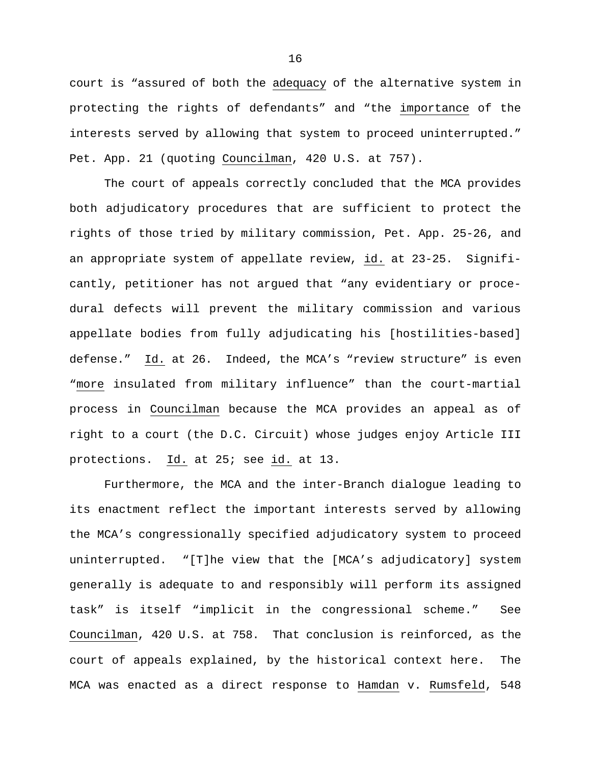court is "assured of both the adequacy of the alternative system in protecting the rights of defendants" and "the importance of the interests served by allowing that system to proceed uninterrupted." Pet. App. 21 (quoting Councilman, 420 U.S. at 757).

The court of appeals correctly concluded that the MCA provides both adjudicatory procedures that are sufficient to protect the rights of those tried by military commission, Pet. App. 25-26, and an appropriate system of appellate review, id. at 23-25. Significantly, petitioner has not argued that "any evidentiary or procedural defects will prevent the military commission and various appellate bodies from fully adjudicating his [hostilities-based] defense." Id. at 26. Indeed, the MCA's "review structure" is even "more insulated from military influence" than the court-martial process in Councilman because the MCA provides an appeal as of right to a court (the D.C. Circuit) whose judges enjoy Article III protections. Id. at 25; see id. at 13.

Furthermore, the MCA and the inter-Branch dialogue leading to its enactment reflect the important interests served by allowing the MCA's congressionally specified adjudicatory system to proceed uninterrupted. "[T]he view that the [MCA's adjudicatory] system generally is adequate to and responsibly will perform its assigned task" is itself "implicit in the congressional scheme." See Councilman, 420 U.S. at 758. That conclusion is reinforced, as the court of appeals explained, by the historical context here. The MCA was enacted as a direct response to Hamdan v. Rumsfeld, 548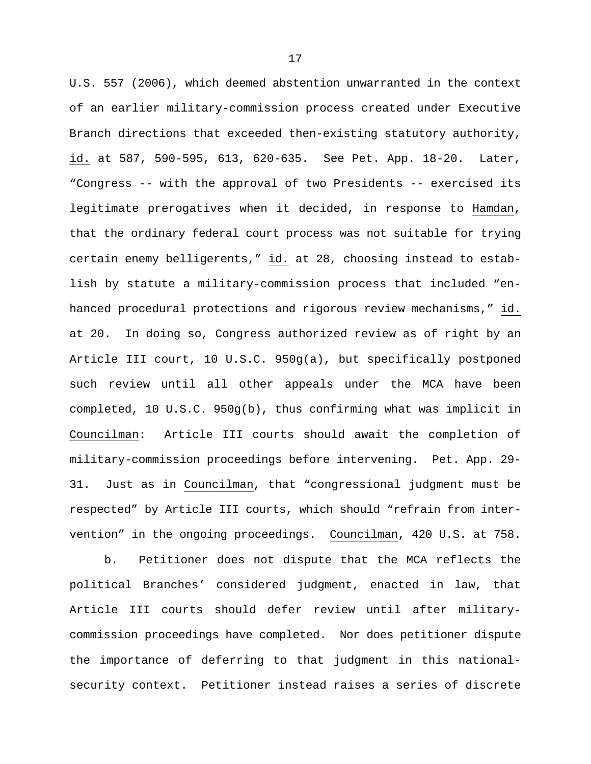U.S. 557 (2006), which deemed abstention unwarranted in the context of an earlier military-commission process created under Executive Branch directions that exceeded then-existing statutory authority, id. at 587, 590-595, 613, 620-635. See Pet. App. 18-20. Later, "Congress -- with the approval of two Presidents -- exercised its legitimate prerogatives when it decided, in response to Hamdan, that the ordinary federal court process was not suitable for trying certain enemy belligerents," id. at 28, choosing instead to establish by statute a military-commission process that included "enhanced procedural protections and rigorous review mechanisms," id. at 20. In doing so, Congress authorized review as of right by an Article III court, 10 U.S.C. 950g(a), but specifically postponed such review until all other appeals under the MCA have been completed, 10 U.S.C. 950g(b), thus confirming what was implicit in Councilman: Article III courts should await the completion of military-commission proceedings before intervening. Pet. App. 29- 31. Just as in Councilman, that "congressional judgment must be respected" by Article III courts, which should "refrain from intervention" in the ongoing proceedings. Councilman, 420 U.S. at 758.

b. Petitioner does not dispute that the MCA reflects the political Branches' considered judgment, enacted in law, that Article III courts should defer review until after militarycommission proceedings have completed. Nor does petitioner dispute the importance of deferring to that judgment in this nationalsecurity context. Petitioner instead raises a series of discrete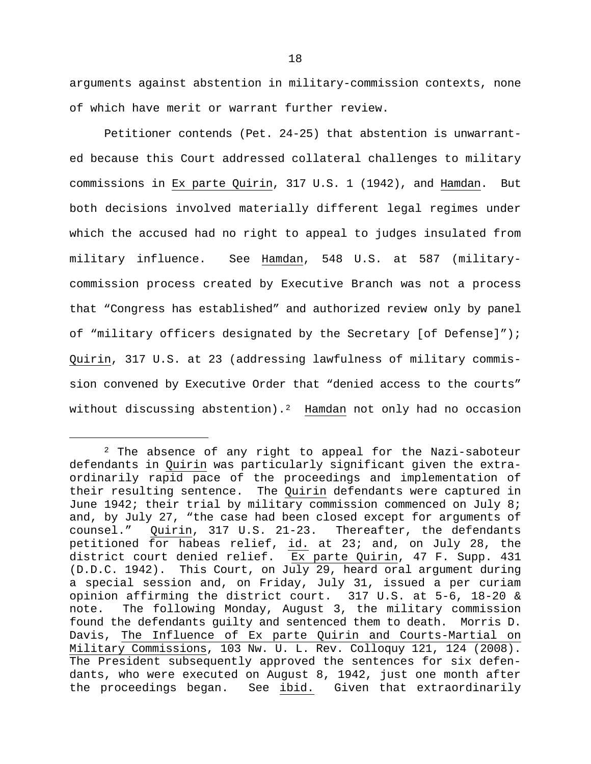arguments against abstention in military-commission contexts, none of which have merit or warrant further review.

Petitioner contends (Pet. 24-25) that abstention is unwarranted because this Court addressed collateral challenges to military commissions in Ex parte Quirin, 317 U.S. 1 (1942), and Hamdan. But both decisions involved materially different legal regimes under which the accused had no right to appeal to judges insulated from military influence. See Hamdan, 548 U.S. at 587 (militarycommission process created by Executive Branch was not a process that "Congress has established" and authorized review only by panel of "military officers designated by the Secretary [of Defense]"); Quirin, 317 U.S. at 23 (addressing lawfulness of military commission convened by Executive Order that "denied access to the courts" without discussing abstention).<sup>2</sup> Hamdan not only had no occasion

Ĩ.

<span id="page-19-0"></span> $2$  The absence of any right to appeal for the Nazi-saboteur defendants in Quirin was particularly significant given the extraordinarily rapid pace of the proceedings and implementation of their resulting sentence. The Quirin defendants were captured in June 1942; their trial by military commission commenced on July 8; and, by July 27, "the case had been closed except for arguments of counsel." Quirin, 317 U.S. 21-23. Thereafter, the defendants petitioned for habeas relief, id. at 23; and, on July 28, the district court denied relief. Ex parte Quirin, 47 F. Supp. 431 (D.D.C. 1942). This Court, on July 29, heard oral argument during a special session and, on Friday, July 31, issued a per curiam opinion affirming the district court. 317 U.S. at 5-6, 18-20 & note. The following Monday, August 3, the military commission The following Monday, August 3, the military commission found the defendants guilty and sentenced them to death. Morris D. Davis, The Influence of Ex parte Quirin and Courts-Martial on Military Commissions, 103 Nw. U. L. Rev. Colloquy 121, 124 (2008). The President subsequently approved the sentences for six defendants, who were executed on August 8, 1942, just one month after the proceedings began. See ibid. Given that extraordinarily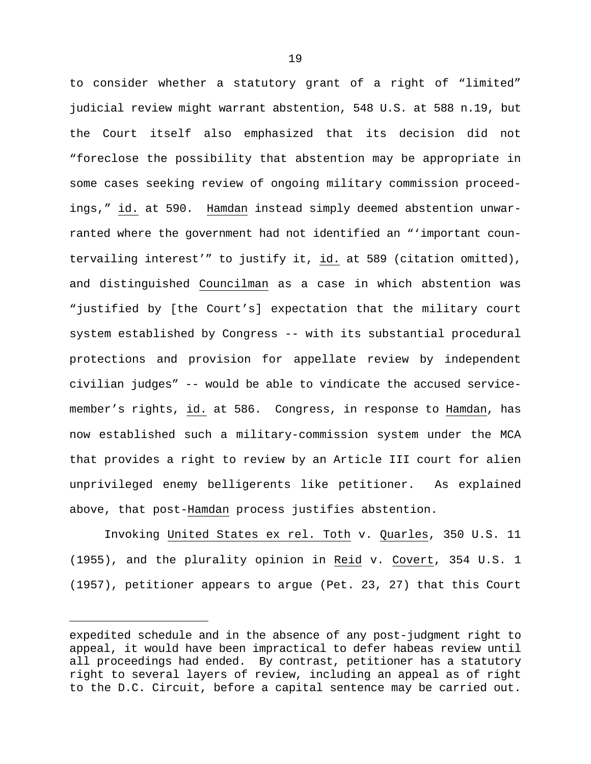to consider whether a statutory grant of a right of "limited" judicial review might warrant abstention, 548 U.S. at 588 n.19, but the Court itself also emphasized that its decision did not "foreclose the possibility that abstention may be appropriate in some cases seeking review of ongoing military commission proceedings," id. at 590. Hamdan instead simply deemed abstention unwarranted where the government had not identified an "'important countervailing interest'" to justify it, id. at 589 (citation omitted), and distinguished Councilman as a case in which abstention was "justified by [the Court's] expectation that the military court system established by Congress -- with its substantial procedural protections and provision for appellate review by independent civilian judges" -- would be able to vindicate the accused servicemember's rights, id. at 586. Congress, in response to Hamdan, has now established such a military-commission system under the MCA that provides a right to review by an Article III court for alien unprivileged enemy belligerents like petitioner. As explained above, that post-Hamdan process justifies abstention.

Invoking United States ex rel. Toth v. Quarles, 350 U.S. 11 (1955), and the plurality opinion in Reid v. Covert, 354 U.S. 1 (1957), petitioner appears to argue (Pet. 23, 27) that this Court

ī

expedited schedule and in the absence of any post-judgment right to appeal, it would have been impractical to defer habeas review until all proceedings had ended. By contrast, petitioner has a statutory right to several layers of review, including an appeal as of right to the D.C. Circuit, before a capital sentence may be carried out.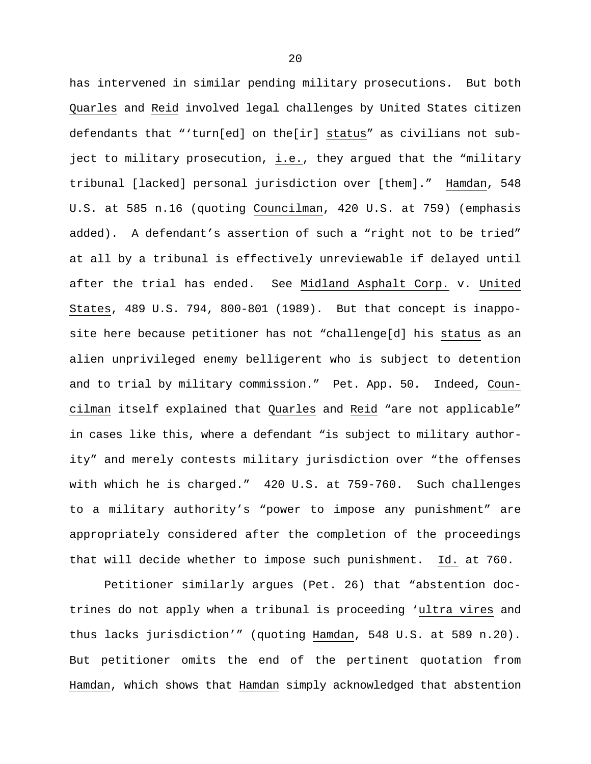has intervened in similar pending military prosecutions. But both Quarles and Reid involved legal challenges by United States citizen defendants that "'turn[ed] on the[ir] status" as civilians not subject to military prosecution, i.e., they argued that the "military tribunal [lacked] personal jurisdiction over [them]." Hamdan, 548 U.S. at 585 n.16 (quoting Councilman, 420 U.S. at 759) (emphasis added). A defendant's assertion of such a "right not to be tried" at all by a tribunal is effectively unreviewable if delayed until after the trial has ended. See Midland Asphalt Corp. v. United States, 489 U.S. 794, 800-801 (1989). But that concept is inapposite here because petitioner has not "challenge[d] his status as an alien unprivileged enemy belligerent who is subject to detention and to trial by military commission." Pet. App. 50. Indeed, Councilman itself explained that Quarles and Reid "are not applicable" in cases like this, where a defendant "is subject to military authority" and merely contests military jurisdiction over "the offenses with which he is charged." 420 U.S. at 759-760. Such challenges to a military authority's "power to impose any punishment" are appropriately considered after the completion of the proceedings that will decide whether to impose such punishment. Id. at 760.

Petitioner similarly argues (Pet. 26) that "abstention doctrines do not apply when a tribunal is proceeding 'ultra vires and thus lacks jurisdiction'" (quoting Hamdan, 548 U.S. at 589 n.20). But petitioner omits the end of the pertinent quotation from Hamdan, which shows that Hamdan simply acknowledged that abstention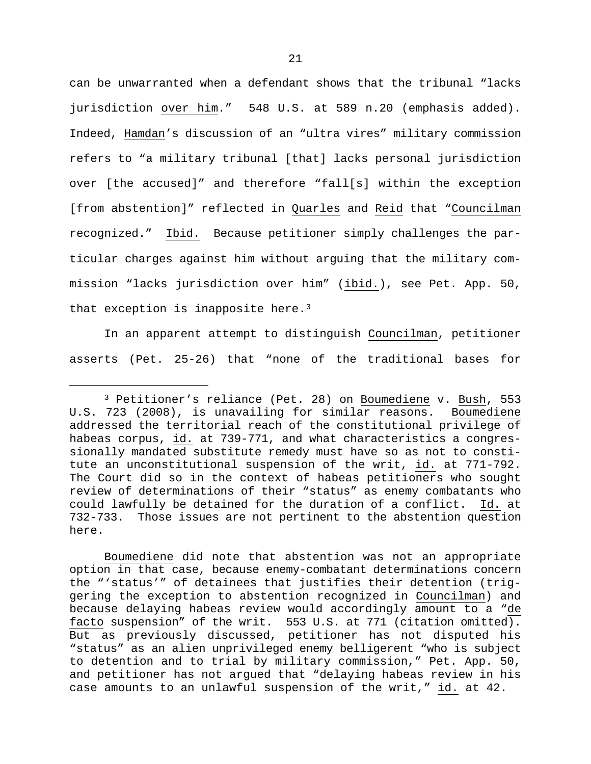can be unwarranted when a defendant shows that the tribunal "lacks jurisdiction over him." 548 U.S. at 589 n.20 (emphasis added). Indeed, Hamdan's discussion of an "ultra vires" military commission refers to "a military tribunal [that] lacks personal jurisdiction over [the accused]" and therefore "fall[s] within the exception [from abstention]" reflected in Quarles and Reid that "Councilman recognized." Ibid. Because petitioner simply challenges the particular charges against him without arguing that the military commission "lacks jurisdiction over him" (ibid.), see Pet. App. 50, that exception is inapposite here. $3$ 

In an apparent attempt to distinguish Councilman, petitioner asserts (Pet. 25-26) that "none of the traditional bases for

Ĩ.

<span id="page-22-0"></span><sup>3</sup> Petitioner's reliance (Pet. 28) on Boumediene v. Bush, 553 U.S. 723 (2008), is unavailing for similar reasons. Boumediene addressed the territorial reach of the constitutional privilege of habeas corpus, id. at 739-771, and what characteristics a congressionally mandated substitute remedy must have so as not to constitute an unconstitutional suspension of the writ, id. at 771-792. The Court did so in the context of habeas petitioners who sought review of determinations of their "status" as enemy combatants who could lawfully be detained for the duration of a conflict. Id. at 732-733. Those issues are not pertinent to the abstention question here.

Boumediene did note that abstention was not an appropriate option in that case, because enemy-combatant determinations concern the "'status'" of detainees that justifies their detention (triggering the exception to abstention recognized in Councilman) and because delaying habeas review would accordingly amount to a "de facto suspension" of the writ. 553 U.S. at 771 (citation omitted). But as previously discussed, petitioner has not disputed his "status" as an alien unprivileged enemy belligerent "who is subject to detention and to trial by military commission," Pet. App. 50, and petitioner has not argued that "delaying habeas review in his case amounts to an unlawful suspension of the writ," id. at 42.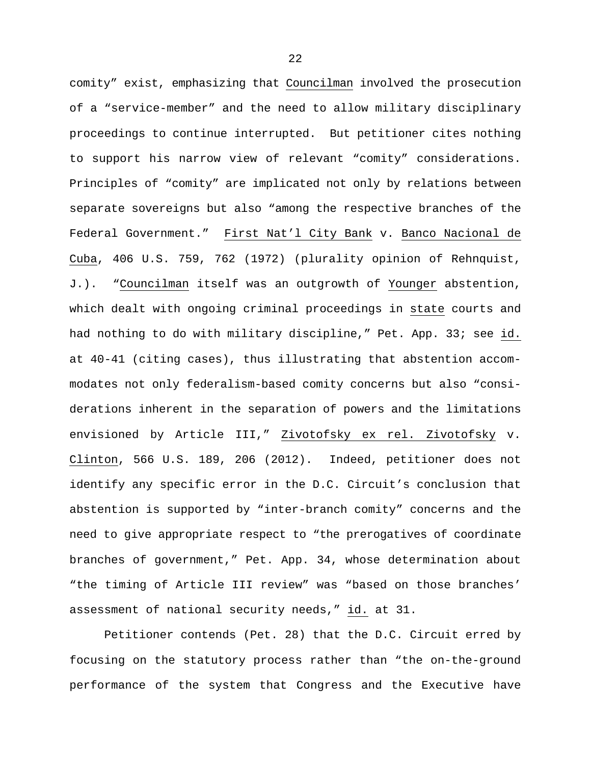comity" exist, emphasizing that Councilman involved the prosecution of a "service-member" and the need to allow military disciplinary proceedings to continue interrupted. But petitioner cites nothing to support his narrow view of relevant "comity" considerations. Principles of "comity" are implicated not only by relations between separate sovereigns but also "among the respective branches of the Federal Government." First Nat'l City Bank v. Banco Nacional de Cuba, 406 U.S. 759, 762 (1972) (plurality opinion of Rehnquist, J.). "Councilman itself was an outgrowth of Younger abstention, which dealt with ongoing criminal proceedings in state courts and had nothing to do with military discipline," Pet. App. 33; see id. at 40-41 (citing cases), thus illustrating that abstention accommodates not only federalism-based comity concerns but also "considerations inherent in the separation of powers and the limitations envisioned by Article III," Zivotofsky ex rel. Zivotofsky v. Clinton, 566 U.S. 189, 206 (2012). Indeed, petitioner does not identify any specific error in the D.C. Circuit's conclusion that abstention is supported by "inter-branch comity" concerns and the need to give appropriate respect to "the prerogatives of coordinate branches of government," Pet. App. 34, whose determination about "the timing of Article III review" was "based on those branches' assessment of national security needs," id. at 31.

Petitioner contends (Pet. 28) that the D.C. Circuit erred by focusing on the statutory process rather than "the on-the-ground performance of the system that Congress and the Executive have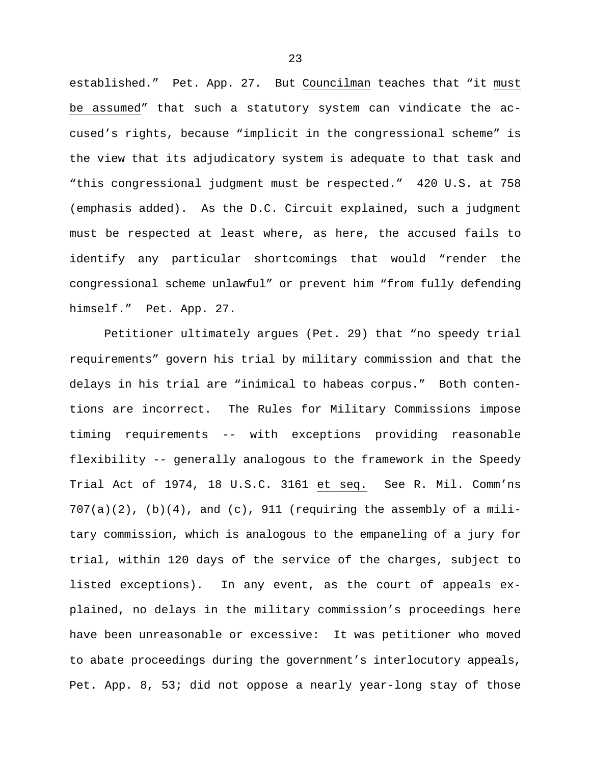established." Pet. App. 27. But Councilman teaches that "it must be assumed" that such a statutory system can vindicate the accused's rights, because "implicit in the congressional scheme" is the view that its adjudicatory system is adequate to that task and "this congressional judgment must be respected." 420 U.S. at 758 (emphasis added). As the D.C. Circuit explained, such a judgment must be respected at least where, as here, the accused fails to identify any particular shortcomings that would "render the congressional scheme unlawful" or prevent him "from fully defending himself." Pet. App. 27.

Petitioner ultimately argues (Pet. 29) that "no speedy trial requirements" govern his trial by military commission and that the delays in his trial are "inimical to habeas corpus." Both contentions are incorrect. The Rules for Military Commissions impose timing requirements -- with exceptions providing reasonable flexibility -- generally analogous to the framework in the Speedy Trial Act of 1974, 18 U.S.C. 3161 et seq. See R. Mil. Comm'ns  $707(a)(2)$ ,  $(b)(4)$ , and  $(c)$ , 911 (requiring the assembly of a military commission, which is analogous to the empaneling of a jury for trial, within 120 days of the service of the charges, subject to listed exceptions). In any event, as the court of appeals explained, no delays in the military commission's proceedings here have been unreasonable or excessive: It was petitioner who moved to abate proceedings during the government's interlocutory appeals, Pet. App. 8, 53; did not oppose a nearly year-long stay of those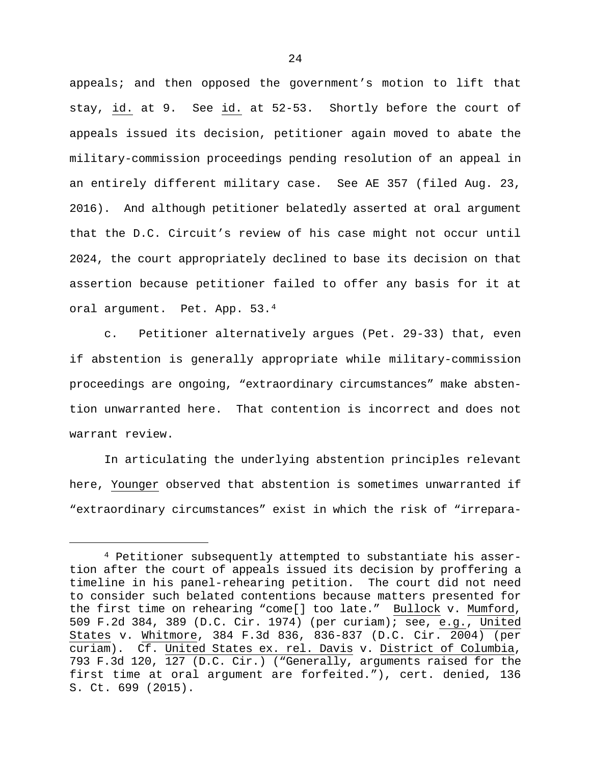appeals; and then opposed the government's motion to lift that stay, id. at 9. See id. at 52-53. Shortly before the court of appeals issued its decision, petitioner again moved to abate the military-commission proceedings pending resolution of an appeal in an entirely different military case. See AE 357 (filed Aug. 23, 2016). And although petitioner belatedly asserted at oral argument that the D.C. Circuit's review of his case might not occur until 2024, the court appropriately declined to base its decision on that assertion because petitioner failed to offer any basis for it at oral argument. Pet. App. 53.[4](#page-25-0)

c. Petitioner alternatively argues (Pet. 29-33) that, even if abstention is generally appropriate while military-commission proceedings are ongoing, "extraordinary circumstances" make abstention unwarranted here. That contention is incorrect and does not warrant review.

In articulating the underlying abstention principles relevant here, Younger observed that abstention is sometimes unwarranted if "extraordinary circumstances" exist in which the risk of "irrepara-

Ĩ.

<span id="page-25-0"></span><sup>4</sup> Petitioner subsequently attempted to substantiate his assertion after the court of appeals issued its decision by proffering a timeline in his panel-rehearing petition. The court did not need to consider such belated contentions because matters presented for the first time on rehearing "come[] too late." Bullock v. Mumford, 509 F.2d 384, 389 (D.C. Cir. 1974) (per curiam); see, e.g., United States v. Whitmore, 384 F.3d 836, 836-837 (D.C. Cir. 2004) (per curiam). Cf. United States ex. rel. Davis v. District of Columbia, 793 F.3d 120, 127 (D.C. Cir.) ("Generally, arguments raised for the first time at oral argument are forfeited."), cert. denied, 136 S. Ct. 699 (2015).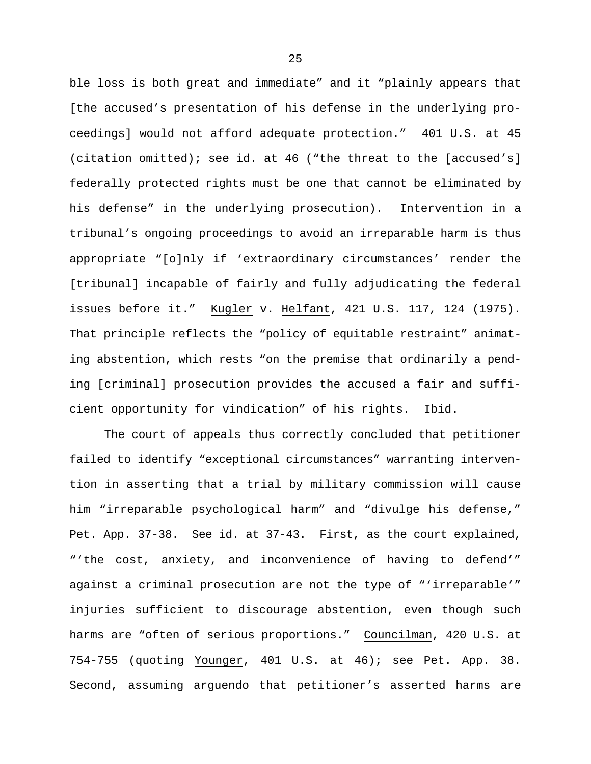ble loss is both great and immediate" and it "plainly appears that [the accused's presentation of his defense in the underlying proceedings] would not afford adequate protection." 401 U.S. at 45 (citation omitted); see id. at 46 ("the threat to the [accused's] federally protected rights must be one that cannot be eliminated by his defense" in the underlying prosecution). Intervention in a tribunal's ongoing proceedings to avoid an irreparable harm is thus appropriate "[o]nly if 'extraordinary circumstances' render the [tribunal] incapable of fairly and fully adjudicating the federal issues before it." Kugler v. Helfant, 421 U.S. 117, 124 (1975). That principle reflects the "policy of equitable restraint" animating abstention, which rests "on the premise that ordinarily a pending [criminal] prosecution provides the accused a fair and sufficient opportunity for vindication" of his rights. Ibid.

The court of appeals thus correctly concluded that petitioner failed to identify "exceptional circumstances" warranting intervention in asserting that a trial by military commission will cause him "irreparable psychological harm" and "divulge his defense," Pet. App. 37-38. See id. at 37-43. First, as the court explained, "'the cost, anxiety, and inconvenience of having to defend'" against a criminal prosecution are not the type of "'irreparable'" injuries sufficient to discourage abstention, even though such harms are "often of serious proportions." Councilman, 420 U.S. at 754-755 (quoting Younger, 401 U.S. at 46); see Pet. App. 38. Second, assuming arguendo that petitioner's asserted harms are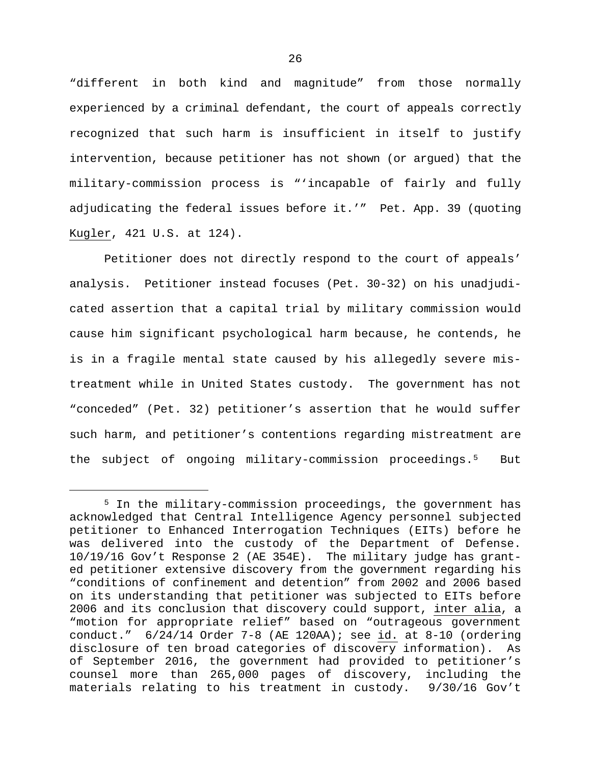"different in both kind and magnitude" from those normally experienced by a criminal defendant, the court of appeals correctly recognized that such harm is insufficient in itself to justify intervention, because petitioner has not shown (or argued) that the military-commission process is "'incapable of fairly and fully adjudicating the federal issues before it.'" Pet. App. 39 (quoting Kugler, 421 U.S. at 124).

Petitioner does not directly respond to the court of appeals' analysis. Petitioner instead focuses (Pet. 30-32) on his unadjudicated assertion that a capital trial by military commission would cause him significant psychological harm because, he contends, he is in a fragile mental state caused by his allegedly severe mistreatment while in United States custody. The government has not "conceded" (Pet. 32) petitioner's assertion that he would suffer such harm, and petitioner's contentions regarding mistreatment are the subject of ongoing military-commission proceedings.[5](#page-27-0) But

Ĩ.

<span id="page-27-0"></span><sup>5</sup> In the military-commission proceedings, the government has acknowledged that Central Intelligence Agency personnel subjected petitioner to Enhanced Interrogation Techniques (EITs) before he was delivered into the custody of the Department of Defense. 10/19/16 Gov't Response 2 (AE 354E). The military judge has granted petitioner extensive discovery from the government regarding his "conditions of confinement and detention" from 2002 and 2006 based on its understanding that petitioner was subjected to EITs before 2006 and its conclusion that discovery could support, inter alia, a "motion for appropriate relief" based on "outrageous government conduct." 6/24/14 Order 7-8 (AE 120AA); see id. at 8-10 (ordering disclosure of ten broad categories of discovery information). As of September 2016, the government had provided to petitioner's counsel more than 265,000 pages of discovery, including the materials relating to his treatment in custody. 9/30/16 Gov't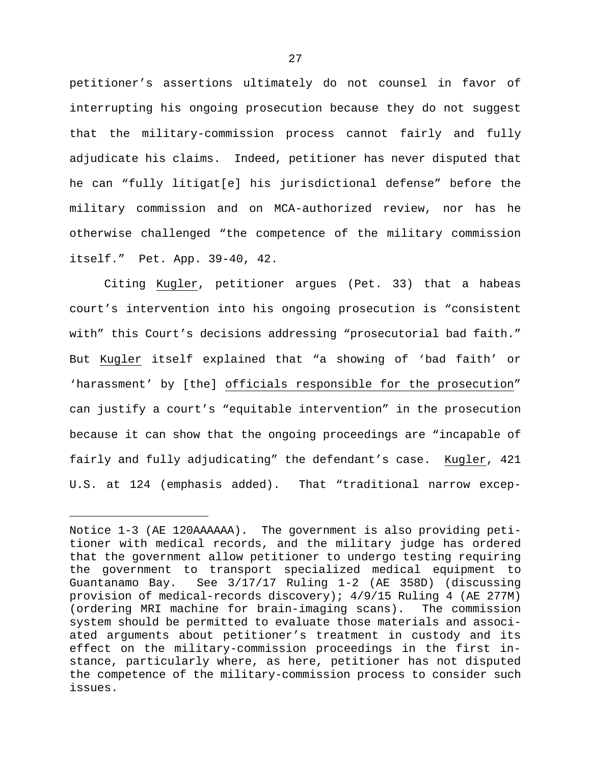petitioner's assertions ultimately do not counsel in favor of interrupting his ongoing prosecution because they do not suggest that the military-commission process cannot fairly and fully adjudicate his claims. Indeed, petitioner has never disputed that he can "fully litigat[e] his jurisdictional defense" before the military commission and on MCA-authorized review, nor has he otherwise challenged "the competence of the military commission itself." Pet. App. 39-40, 42.

Citing Kugler, petitioner argues (Pet. 33) that a habeas court's intervention into his ongoing prosecution is "consistent with" this Court's decisions addressing "prosecutorial bad faith." But Kugler itself explained that "a showing of 'bad faith' or 'harassment' by [the] officials responsible for the prosecution" can justify a court's "equitable intervention" in the prosecution because it can show that the ongoing proceedings are "incapable of fairly and fully adjudicating" the defendant's case. Kugler, 421 U.S. at 124 (emphasis added). That "traditional narrow excep-

Ĩ.

Notice 1-3 (AE 120AAAAAA). The government is also providing petitioner with medical records, and the military judge has ordered that the government allow petitioner to undergo testing requiring the government to transport specialized medical equipment to Guantanamo Bay. See 3/17/17 Ruling 1-2 (AE 358D) (discussing provision of medical-records discovery); 4/9/15 Ruling 4 (AE 277M) (ordering MRI machine for brain-imaging scans). The commission system should be permitted to evaluate those materials and associated arguments about petitioner's treatment in custody and its effect on the military-commission proceedings in the first instance, particularly where, as here, petitioner has not disputed the competence of the military-commission process to consider such issues.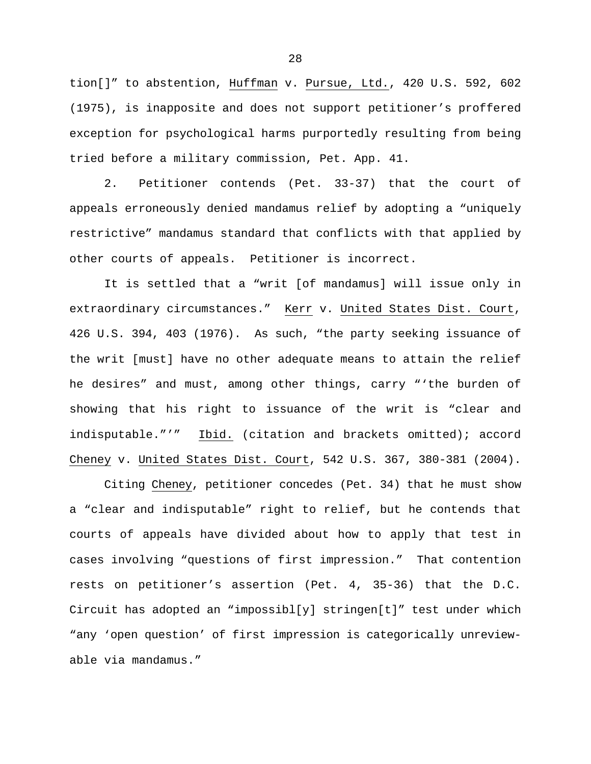tion[]" to abstention, Huffman v. Pursue, Ltd., 420 U.S. 592, 602 (1975), is inapposite and does not support petitioner's proffered exception for psychological harms purportedly resulting from being tried before a military commission, Pet. App. 41.

2. Petitioner contends (Pet. 33-37) that the court of appeals erroneously denied mandamus relief by adopting a "uniquely restrictive" mandamus standard that conflicts with that applied by other courts of appeals. Petitioner is incorrect.

It is settled that a "writ [of mandamus] will issue only in extraordinary circumstances." Kerr v. United States Dist. Court, 426 U.S. 394, 403 (1976). As such, "the party seeking issuance of the writ [must] have no other adequate means to attain the relief he desires" and must, among other things, carry "'the burden of showing that his right to issuance of the writ is "clear and indisputable."'" Ibid. (citation and brackets omitted); accord Cheney v. United States Dist. Court, 542 U.S. 367, 380-381 (2004).

Citing Cheney, petitioner concedes (Pet. 34) that he must show a "clear and indisputable" right to relief, but he contends that courts of appeals have divided about how to apply that test in cases involving "questions of first impression." That contention rests on petitioner's assertion (Pet. 4, 35-36) that the D.C. Circuit has adopted an "impossibl[y] stringen[t]" test under which "any 'open question' of first impression is categorically unreviewable via mandamus."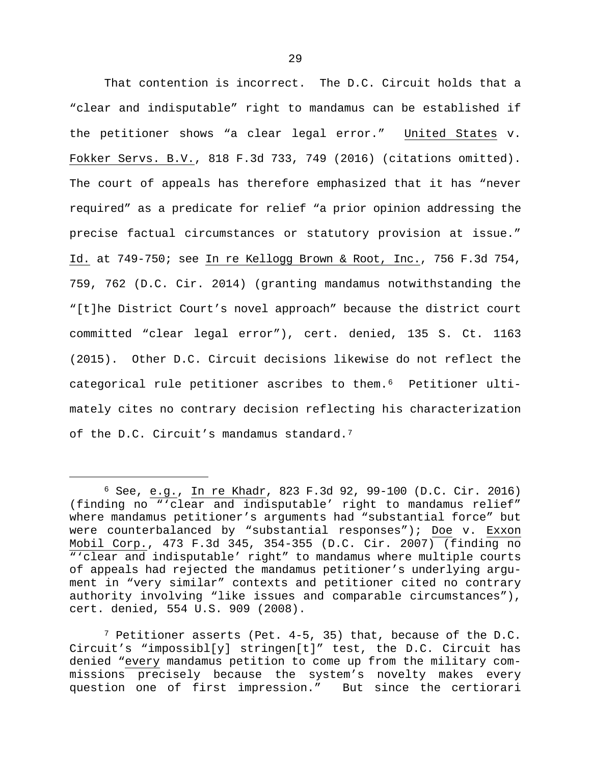That contention is incorrect. The D.C. Circuit holds that a "clear and indisputable" right to mandamus can be established if the petitioner shows "a clear legal error." United States v. Fokker Servs. B.V., 818 F.3d 733, 749 (2016) (citations omitted). The court of appeals has therefore emphasized that it has "never required" as a predicate for relief "a prior opinion addressing the precise factual circumstances or statutory provision at issue." Id. at 749-750; see In re Kellogg Brown & Root, Inc., 756 F.3d 754, 759, 762 (D.C. Cir. 2014) (granting mandamus notwithstanding the "[t]he District Court's novel approach" because the district court committed "clear legal error"), cert. denied, 135 S. Ct. 1163 (2015). Other D.C. Circuit decisions likewise do not reflect the categorical rule petitioner ascribes to them.[6](#page-30-0) Petitioner ultimately cites no contrary decision reflecting his characterization of the D.C. Circuit's mandamus standard.<sup>7</sup>

Ĩ.

<span id="page-30-1"></span><sup>7</sup> Petitioner asserts (Pet. 4-5, 35) that, because of the D.C. Circuit's "impossibl[y] stringen[t]" test, the D.C. Circuit has denied "every mandamus petition to come up from the military commissions precisely because the system's novelty makes every question one of first impression." But since the certiorari

<span id="page-30-0"></span><sup>6</sup> See, e.g., In re Khadr, 823 F.3d 92, 99-100 (D.C. Cir. 2016) (finding no "'clear and indisputable' right to mandamus relief" where mandamus petitioner's arguments had "substantial force" but were counterbalanced by "substantial responses"); Doe v. Exxon Mobil Corp., 473 F.3d 345, 354-355 (D.C. Cir. 2007) (finding no "'clear and indisputable' right" to mandamus where multiple courts of appeals had rejected the mandamus petitioner's underlying argument in "very similar" contexts and petitioner cited no contrary authority involving "like issues and comparable circumstances"), cert. denied, 554 U.S. 909 (2008).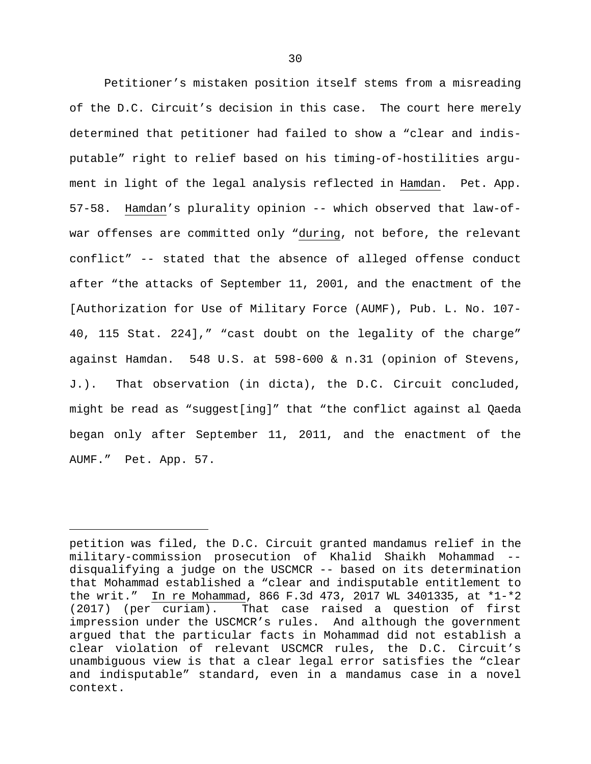Petitioner's mistaken position itself stems from a misreading of the D.C. Circuit's decision in this case. The court here merely determined that petitioner had failed to show a "clear and indisputable" right to relief based on his timing-of-hostilities argument in light of the legal analysis reflected in Hamdan. Pet. App. 57-58. Hamdan's plurality opinion -- which observed that law-ofwar offenses are committed only "during, not before, the relevant conflict" -- stated that the absence of alleged offense conduct after "the attacks of September 11, 2001, and the enactment of the [Authorization for Use of Military Force (AUMF), Pub. L. No. 107- 40, 115 Stat. 224]," "cast doubt on the legality of the charge" against Hamdan. 548 U.S. at 598-600 & n.31 (opinion of Stevens, J.). That observation (in dicta), the D.C. Circuit concluded, might be read as "suggest[ing]" that "the conflict against al Qaeda began only after September 11, 2011, and the enactment of the AUMF." Pet. App. 57.

Ĩ.

petition was filed, the D.C. Circuit granted mandamus relief in the military-commission prosecution of Khalid Shaikh Mohammad - disqualifying a judge on the USCMCR -- based on its determination that Mohammad established a "clear and indisputable entitlement to the writ." In re Mohammad, 866 F.3d 473, 2017 WL 3401335, at \*1-\*2 (2017) (per curiam). That case raised a question of first impression under the USCMCR's rules. And although the government argued that the particular facts in Mohammad did not establish a clear violation of relevant USCMCR rules, the D.C. Circuit's unambiguous view is that a clear legal error satisfies the "clear and indisputable" standard, even in a mandamus case in a novel context.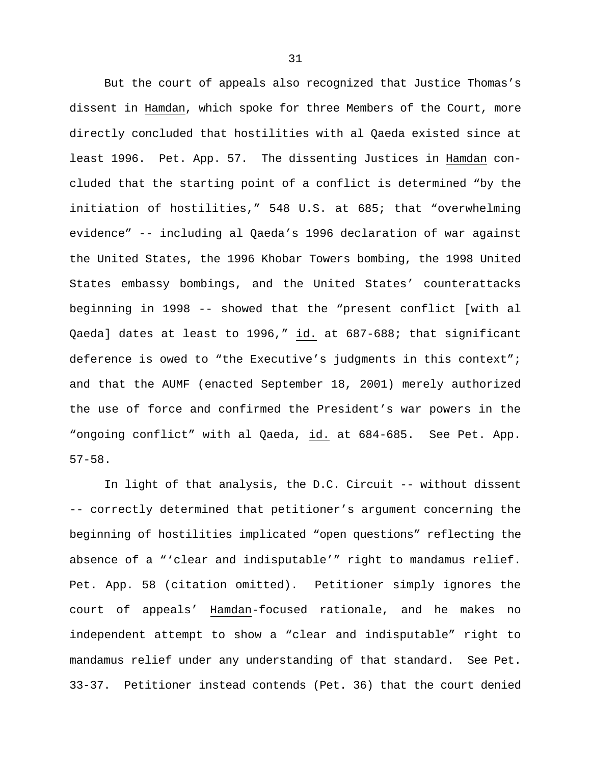But the court of appeals also recognized that Justice Thomas's dissent in Hamdan, which spoke for three Members of the Court, more directly concluded that hostilities with al Qaeda existed since at least 1996. Pet. App. 57. The dissenting Justices in Hamdan concluded that the starting point of a conflict is determined "by the initiation of hostilities," 548 U.S. at 685; that "overwhelming evidence" -- including al Qaeda's 1996 declaration of war against the United States, the 1996 Khobar Towers bombing, the 1998 United States embassy bombings, and the United States' counterattacks beginning in 1998 -- showed that the "present conflict [with al Qaeda] dates at least to 1996," id. at 687-688; that significant deference is owed to "the Executive's judgments in this context"; and that the AUMF (enacted September 18, 2001) merely authorized the use of force and confirmed the President's war powers in the "ongoing conflict" with al Qaeda, id. at 684-685. See Pet. App. 57-58.

In light of that analysis, the D.C. Circuit -- without dissent -- correctly determined that petitioner's argument concerning the beginning of hostilities implicated "open questions" reflecting the absence of a "'clear and indisputable'" right to mandamus relief. Pet. App. 58 (citation omitted). Petitioner simply ignores the court of appeals' Hamdan-focused rationale, and he makes no independent attempt to show a "clear and indisputable" right to mandamus relief under any understanding of that standard. See Pet. 33-37. Petitioner instead contends (Pet. 36) that the court denied